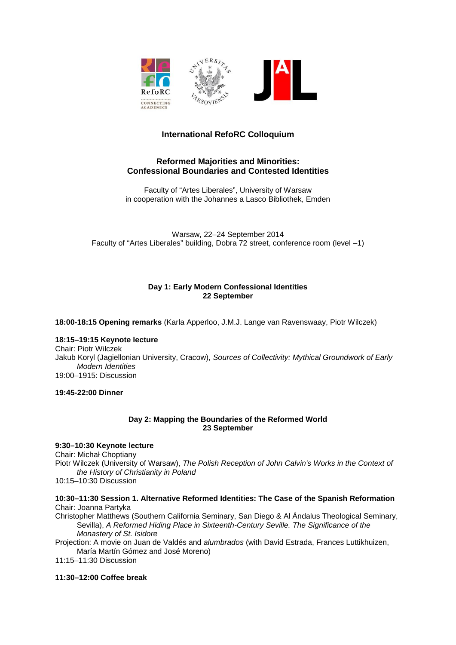

# **International RefoRC Colloquium**

# **Reformed Majorities and Minorities: Confessional Boundaries and Contested Identities**

Faculty of "Artes Liberales", University of Warsaw in cooperation with the Johannes a Lasco Bibliothek, Emden

Warsaw, 22–24 September 2014 Faculty of "Artes Liberales" building, Dobra 72 street, conference room (level –1)

# **Day 1: Early Modern Confessional Identities 22 September**

**18:00-18:15 Opening remarks** (Karla Apperloo, J.M.J. Lange van Ravenswaay, Piotr Wilczek)

#### **18:15–19:15 Keynote lecture**

Chair: Piotr Wilczek Jakub Koryl (Jagiellonian University, Cracow), *Sources of Collectivity: Mythical Groundwork of Early Modern Identities* 19:00–1915: Discussion

**19:45-22:00 Dinner**

## **Day 2: Mapping the Boundaries of the Reformed World 23 September**

# **9:30–10:30 Keynote lecture**

Chair: Michał Choptiany Piotr Wilczek (University of Warsaw), *The Polish Reception of John Calvin's Works in the Context of the History of Christianity in Poland*

10:15–10:30 Discussion

#### **10:30–11:30 Session 1. Alternative Reformed Identities: The Case of the Spanish Reformation** Chair: Joanna Partyka

Christopher Matthews (Southern California Seminary, San Diego & Al Ándalus Theological Seminary, Sevilla), *A Reformed Hiding Place in Sixteenth-Century Seville. The Significance of the Monastery of St. Isidore*

Projection: A movie on Juan de Valdés and *alumbrados* (with David Estrada, Frances Luttikhuizen, María Martín Gómez and José Moreno)

11:15–11:30 Discussion

#### **11:30–12:00 Coffee break**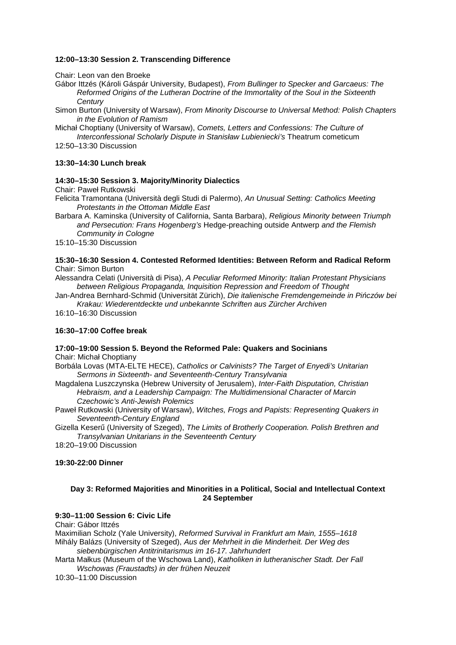## **12:00–13:30 Session 2. Transcending Difference**

Chair: Leon van den Broeke

Gábor Ittzés (Károli Gáspár University, Budapest), *From Bullinger to Specker and Garcaeus: The Reformed Origins of the Lutheran Doctrine of the Immortality of the Soul in the Sixteenth Century*

Simon Burton (University of Warsaw), *From Minority Discourse to Universal Method: Polish Chapters in the Evolution of Ramism*

Michał Choptiany (University of Warsaw), *Comets, Letters and Confessions: The Culture of Interconfessional Scholarly Dispute in Stanisław Lubieniecki's* Theatrum cometicum

12:50–13:30 Discussion

## **13:30–14:30 Lunch break**

#### **14:30–15:30 Session 3. Majority/Minority Dialectics**

Chair: Paweł Rutkowski

Felicita Tramontana (Università degli Studi di Palermo), *An Unusual Setting: Catholics Meeting Protestants in the Ottoman Middle East*

Barbara A. Kaminska (University of California, Santa Barbara), *Religious Minority between Triumph and Persecution: Frans Hogenberg's* Hedge-preaching outside Antwerp *and the Flemish Community in Cologne*

15:10–15:30 Discussion

**15:30–16:30 Session 4. Contested Reformed Identities: Between Reform and Radical Reform** Chair: Simon Burton

Alessandra Celati (Università di Pisa), *A Peculiar Reformed Minority: Italian Protestant Physicians between Religious Propaganda, Inquisition Repression and Freedom of Thought*

Jan-Andrea Bernhard-Schmid (Universität Zürich), *Die italienische Fremdengemeinde in Pińczów bei Krakau: Wiederentdeckte und unbekannte Schriften aus Zürcher Archiven*

16:10–16:30 Discussion

# **16:30–17:00 Coffee break**

**17:00–19:00 Session 5. Beyond the Reformed Pale: Quakers and Socinians** Chair: Michał Choptiany

Borbála Lovas (MTA-ELTE HECE), *Catholics or Calvinists? The Target of Enyedi's Unitarian Sermons in Sixteenth- and Seventeenth-Century Transylvania*

Magdalena Luszczynska (Hebrew University of Jerusalem), *Inter-Faith Disputation, Christian Hebraism, and a Leadership Campaign: The Multidimensional Character of Marcin Czechowic's Anti-Jewish Polemics* 

Paweł Rutkowski (University of Warsaw), *Witches, Frogs and Papists: Representing Quakers in Seventeenth-Century England*

Gizella Keserű (University of Szeged), *The Limits of Brotherly Cooperation. Polish Brethren and Transylvanian Unitarians in the Seventeenth Century*

18:20–19:00 Discussion

#### **19:30-22:00 Dinner**

## **Day 3: Reformed Majorities and Minorities in a Political, Social and Intellectual Context 24 September**

# **9:30–11:00 Session 6: Civic Life**

Chair: Gábor Ittzés Maximilian Scholz (Yale University), *Reformed Survival in Frankfurt am Main, 1555–1618* Mihály Balázs (University of Szeged), *Aus der Mehrheit in die Minderheit. Der Weg des siebenbürgischen Antitrinitarismus im 16-17. Jahrhundert*

Marta Małkus (Museum of the Wschowa Land), *Katholiken in lutheranischer Stadt. Der Fall Wschowas (Fraustadts) in der frühen Neuzeit*

10:30–11:00 Discussion